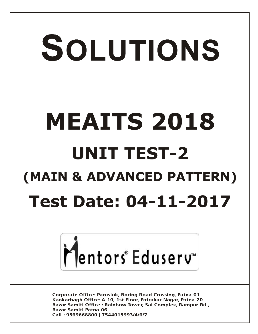# SOLUTIONS **MEAITS 2018 UNIT TEST-2 (MAIN & ADVANCED PATTERN) Test Date: 04-11-2017**



**Corporate Office: Paruslok, Boring Road Crossing, Patna-01** Kankarbagh Office: A-10, 1st Floor, Patrakar Nagar, Patna-20 Bazar Samiti Office: Rainbow Tower, Sai Complex, Rampur Rd., **Bazar Samiti Patna-06** Call: 9569668800 | 7544015993/4/6/7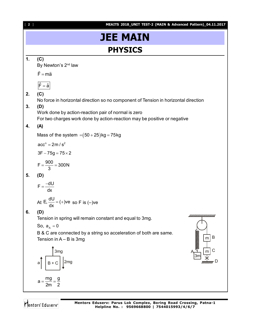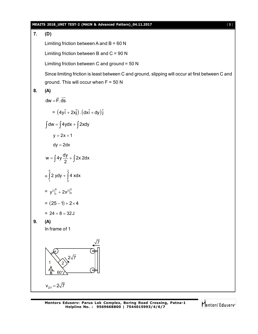#### **MEAITS 2018\_UNIT TEST-2 (MAIN & Advanced Pattern)\_04.11.2017** [ **3** ]

**7. (D)**

Limiting friction between A and  $B = 60 N$ 

Limiting friction between B and  $C = 90 N$ 

Limiting friction between C and ground =  $50 N$ 

Since limiting friction is least between C and ground, slipping will occur at first between C and ground. This will occur when  $F = 50 N$ 

$$
8. (A)
$$

$$
dw = \vec{F} \cdot \vec{ds}
$$
  
\n
$$
= (4y\hat{i} + 2x\hat{j}) \cdot (dx\hat{i} + dy)\hat{j}
$$
  
\n
$$
\int dw = \int 4ydx + \int 2xdy
$$
  
\n
$$
y = 2x + 1
$$
  
\n
$$
dy = 2dx
$$
  
\n
$$
w = \int 4y\frac{dy}{2} + \int 2x 2dx
$$
  
\n
$$
= \int_{1}^{5} 2ydy + \int_{0}^{2} 4xdx
$$
  
\n
$$
= y^{2}\Big|_{1}^{5} + 2x^{2}\Big|_{0}^{2}
$$
  
\n
$$
= (25 - 1) + 2 \times 4
$$
  
\n
$$
= 24 + 8 = 32J
$$

**9. (A)**

In frame of 1



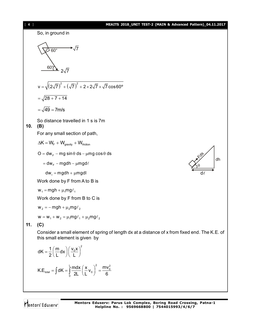



$$
dK = \frac{1}{2} \left( \frac{m}{L} dx \right) \left( \frac{v_0 x}{L} \right)^2
$$
  

$$
K.E_{total} = \int dK = \int_0^L \frac{m dx}{2L} \left( \frac{x}{L} v_0 \right)^2 = \frac{mv_0^2}{6}
$$

this small element is given by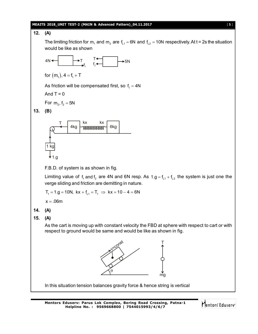#### **MEAITS 2018\_UNIT TEST-2 (MAIN & Advanced Pattern)\_04.11.2017** [ **5** ]

## **12. (A)** The limiting friction for m<sub>1</sub> and m<sub>2</sub> are f<sub>L1</sub> = 6N and f<sub>L2</sub> = 10N respectively. At t = 2s the situation would be like as shown 4N ← ├─▶T f 1  $T \leftarrow \longrightarrow 5N$ for  $(m_1)$ ,  $4 = f_1 + T$ As friction will be compensated first, so  $f_{\text{\tiny{l}}} = 4\text{\textsf{N}}$ And  $T = 0$ For  $m_2$ ,  $f_2 = 5N$ **13. (B)** 1 kg  $4kg$   $\sim$   $m$   $6kg$  $T \begin{array}{ccc} \overline{a} & b \end{array}$  kx kx 1.g F.B.D. of system is as shown in fig. Limiting value of  $f_1$  and  $f_2$  are 4N and 6N resp. As  $1.g = f_{L1} + f_{L2}$  the system is just one the verge sliding and friction are demitting in nature.  $T_1 = 1.9 = 10N$ ,  $kx + f_{11} = T_1 \implies kx = 10 - 4 = 6N$  $x = .06m$ **14. (A) 15. (A)** As the cart is moving up with constant velocity the FBD at sphere with respect to cart or with respect to ground would be same and would be like as shown in fig. v=const  $\theta$ T mg In this situation tension balances gravity force & hence string is vertical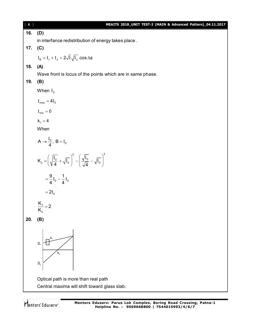| $[6]$ | MEAITS 2018_UNIT TEST-2 (MAIN & Advanced Pattern)_04.11.2017                                                       |
|-------|--------------------------------------------------------------------------------------------------------------------|
| 16.   | (D)                                                                                                                |
|       | in interfance redistribution of energy takes place.                                                                |
| 17.   | (C)                                                                                                                |
|       | $I_R = I_1 + I_2 + 2\sqrt{I}\sqrt{I_2} \cos \Delta\phi$                                                            |
| 18.   | (A)                                                                                                                |
|       | Wave front is locus of the points which are in same phase.                                                         |
| 19.   | (B)                                                                                                                |
|       | When $I_0$                                                                                                         |
|       | $I_{\text{max}} = 4I_0$                                                                                            |
|       | $I_{min} = 0$                                                                                                      |
|       | $k_1 = 4$                                                                                                          |
|       | When                                                                                                               |
|       | $A \rightarrow \frac{I_0}{4}$ , $B = I_0$                                                                          |
|       | $K_2 = \left(\sqrt{\frac{I_0}{4}} + \sqrt{I_0}\right)^2 - \left(\frac{\sqrt{I_0}}{\sqrt{4}} - \sqrt{I_0}\right)^2$ |
|       | $=\frac{9}{4}I_0-\frac{1}{4}I_0$                                                                                   |
|       | $=2I_0$                                                                                                            |
|       | $\frac{K_1}{K_2} = 2$                                                                                              |
| 20.   | (B)                                                                                                                |
|       | S <sub>1</sub><br>$X_2$<br>S <sub>2</sub>                                                                          |
|       | Optical path is more than real path                                                                                |
|       | Central maxima will shift toward glass slab.                                                                       |
|       |                                                                                                                    |

Mentors<sup>®</sup> Eduserv<sup>®</sup>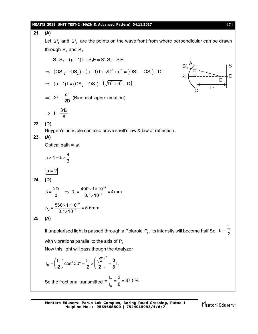### **MEAITS 2018\_UNIT TEST-2 (MAIN & Advanced Pattern)\_04.11.2017** [ **7** ]

21. **(A)**  
\nLet S', and S'<sub>2</sub> are the points on the wave front from where perpendicular can be drawn  
\nthrough S, and S<sub>2</sub>  
\nS'<sub>3</sub>, S<sub>2</sub> + (µ – 1) t + S<sub>2</sub>E = S'<sub>3</sub>, S<sub>3</sub> + S<sub>4</sub>E  
\n
$$
\Rightarrow (OS'_{2} - OS_{2}) + (µ – 1) t + \sqrt{D^{2} + d^{2}} = (OS'_{1} - OS_{1}) + D
$$
\n
$$
\Rightarrow (µ – 1) t = (OS_{2} - OS_{1}) - (\sqrt{D^{2} + d^{2}} - D)
$$
\n
$$
\Rightarrow 2\lambda - \frac{d^{2}}{2} \text{ (Binomial approximation)}
$$
\n
$$
\Rightarrow t = \frac{3\lambda}{8}
$$
\n22. **(D)**  
\nHuygen's principle can also prove snell's law & law of reflection.  
\n23. **(A)**  
\n
$$
\beta = \frac{\lambda D}{d} \Rightarrow \beta_{1} = \frac{400 \times 1 \times 10^{-9}}{0.1 \times 10^{-3}} = 4 \text{ mm}
$$
\n
$$
\beta_{2} = \frac{560 \times 1 \times 10^{-9}}{0.1 \times 10^{-3}} = 5.6 \text{ mm}
$$
\n25. **(A)**  
\nIf unpolarised light is passed through a Polaroid P<sub>1</sub>, its intensity will become half So, I<sub>1</sub> =  $\frac{I_{0}}{2}$   
\nwith vibrations parallel to the axis of P<sub>1</sub>  
\nNow this light will pass through the Analyzer  
\nI<sub>R</sub> =  $\left(\frac{I_{0}}{2}\right) \cos^{2} 30^{\circ} = \frac{I_{0}}{2} \times \left(\frac{\sqrt{3}}{2}\right)^{2} = \frac{3}{8}I_{0}$   
\nSo the fractional transmitted =  $\frac{I_{2}}{I_{0}} = \frac{3}{8} = 37.5\%$ 

Mentors<sup>e</sup> Eduserv<sup>-</sup>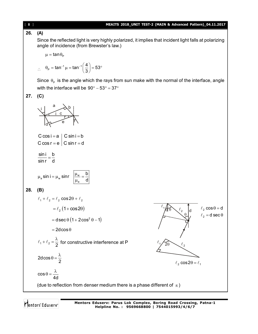#### **26. (A)** Since the reflected light is very highly polarized, it implies that incident light falls at polarizing angle of incidence (from Brewster's law.)  $\mu = \tan \theta_{\rm p}$  $\therefore$   $\theta_P = \tan^{-1} \mu = \tan^{-1} \theta$ tan<sup>-1</sup>  $\mu = \tan^{-1} \left( \frac{4}{2} \right) = 53$  $\theta_{\rm p} = \tan^{-1} \mu = \tan^{-1} \left( \frac{4}{3} \right) = 53^{\circ}$ Since  $\theta_{\rm p}$  is the angle which the rays from sun make with the normal of the interface, angle with the interface will be  $90^{\circ} - 53^{\circ} = 37^{\circ}$ **27. (C)** i i b e d r r a c C cos  $i = a \mid C \sin i = b$ C cos  $r = e \mid C \sin r = d$ sin i b sinr d  $=$ <sub>a</sub> sin i =  $\mu_w$  sinr  $\frac{\mu_w}{\mu_w}$ a sin i =  $\mu_w$  sinr  $\mu_w = \frac{b}{b}$ d  $\mu_{\rm a}$  sin i =  $\mu_{\rm w}$  sinr  $\frac{|\mu_{\rm w}|}{|\mu_{\rm w}|}$  =  $\frac{|\mu_{\rm w}|}{|\mu_{\rm w}|}$  $\mu$ **28. (B)**  $\ell_1 + \ell_2 = \ell_2 \cos 2\theta + \ell_2$  $=\ell_2 (1 + \cos 2\theta)$ 1  $\ell$ 2  $\ell$  $\theta$  $\ell_2 \cos \theta = d$  $\ell_2 =$ d sec $\theta$ 1  $\ell$  $\overline{2}\theta$  $\ell_2$  cos2 $\theta = \ell_1$  $=$  dsec  $\theta$   $(1 + 2\cos^2 \theta - 1)$  $= 2d\cos\theta$  $1 + 2 - 2$  $\ell_1+\ell_2=\frac{\lambda}{2}$  for constructive interference at P 2dcos 2  $\theta = \frac{\lambda}{2}$ cos 4d  $\theta = \frac{\lambda}{4}$ (due to reflection from denser medium there is a phase different of  $\pi$ )

#### [ **8** ] **MEAITS 2018\_UNIT TEST-2 (MAIN & Advanced Pattern)\_04.11.2017**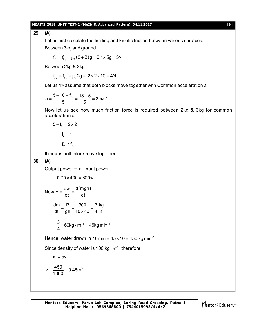#### **MEAITS 2018\_UNIT TEST-2 (MAIN & Advanced Pattern)\_04.11.2017** [ **9** ]

**29. (A)**

Let us first calculate the limiting and kinetic friction between various surfaces. Between 3kg and ground

$$
f_{_{\ell_1}} = f_{_{k_1}} = \mu_1 (2+3) g = 0.1 \times 5g = 5N
$$

Between 2kg & 3kg

$$
f_{\ell_2} = f_{k_2} = \mu_2 2g = .2 \times 2 \times 10 = 4N
$$

Let us 1<sup>st</sup> assume that both blocks move together with Common acceleration a

$$
a = \frac{5 + 10 - f_{\ell_1}}{5} = \frac{15 - 5}{5} = 2m/s^2
$$

Now let us see how much friction force is required between 2kg & 3kg for common acceleration a

$$
5 - f_2 = 2 \times 2
$$

$$
f_2 = 1
$$

$$
f_2 < f_{\ell_2}
$$

It means both block move together.

**30. (A)**

Output power =  $\eta$ . Input power

$$
= 0.75 \times 400 = 300w
$$
  
Now  $P = \frac{dw}{dt} = \frac{d(mgh)}{dt}$   

$$
\frac{dm}{dt} = \frac{P}{gh} = \frac{300}{10 \times 40} = \frac{3 \text{ kg}}{4 \text{ s}}
$$

$$
= \frac{3}{4} \times 60 \text{ kg/m}^{-1} = 45 \text{ kg min}^{-1}
$$
Hence, water drawn in 10 min = 4

Hence, water drawn in 10 min = 45  $\times$  10 = 450 kg min<sup>-1</sup>

Since density of water is 100 kg  $\, \mathrm{m}^{-3} \,$ , therefore

$$
m=\rho v
$$

$$
v = \frac{450}{1000} = 0.45 m^3
$$

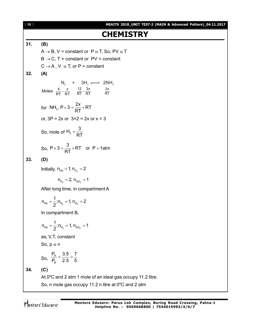[ **10** ] **MEAITS 2018\_UNIT TEST-2 (MAIN & Advanced Pattern)\_04.11.2017 CHEMISTRY 31. (B)**  $A \rightarrow B$ , V = constant or P  $\alpha$  T, So, PV  $\alpha$  T  $B \rightarrow C$ , T = constant or PV = constant  $C \rightarrow A$ , V  $\alpha$  T, or P = constant **32. (A)**  $\mathsf{N_2}$  + 3H<sub>2</sub>  $\Longleftrightarrow$  2NH<sub>3</sub> 4 x  $\frac{4}{RT} - \frac{x}{RT}$   $\frac{12}{RT} - \frac{3x}{RT}$  $\frac{12}{RT} - \frac{3x}{RT}$  2x Moles  $\frac{1}{RT} - \frac{\lambda}{RT} = \frac{12}{RT} - \frac{3\lambda}{RT}$ for NH<sub>3</sub>,  $P \times 3 = \frac{2x}{RT} \times RT$ RT  $\times$  3 =  $\frac{27}{27}$   $\times$  F or,  $3P = 2x$  or  $3 \times 2 = 2x$  or  $x = 3$ So, mole of  $\mathsf{H}_{\mathsf{2}}$  $H_2 = \frac{3}{2}$ RT  $=$ So,  $P \times 3 = \frac{3}{25} \times RT$  or P = 1atm RT  $\times$ 3 =  $\frac{6}{27}$  × RT or P = 1 **33. (D)** Initially,  $n_{He} = 1$ ,  $n_{O_2} = 2$  $n_{H_2} = 2, n_{SO_2} = 1$ After long time, in compartment A  $He$   $\rightarrow$   $H_2$   $\rightarrow$   $H_2$   $\rightarrow$   $H_2$  $n_{He} = \frac{1}{2}$ ;  $n_{He} = 1$ ,  $n_{O_2} = 2$ 2  $=$   $\frac{1}{2}$ ;  $n_{\rm H_2}$  = 1,  $n_{\rm O_2}$  = 2 In compartment B,  $He = 2$ ,  $H_2 = 1$ ,  $H_2 = 1$  $n_{He} = \frac{1}{2}$ ;  $n_{H_0} = 1$ ,  $n_{SO_0} = 1$ 2  $=$   $\frac{1}{2}$ ;  $n_{H_2}$  = 1,  $n_{SO_2}$  = 1 as, V,T, constant So,  $p \alpha n$ So,  $\frac{A}{P_B}$  $P_A$  3.5 7  $P_R$  2.5 5  $=\frac{0.0}{0.7}$ **34. (C)** At 0ºC and 2 atm 1 mole of an ideal gas occupy 11.2 litre. So, n mole gas occupy 11.2 n litre at 0ºC and 2 atm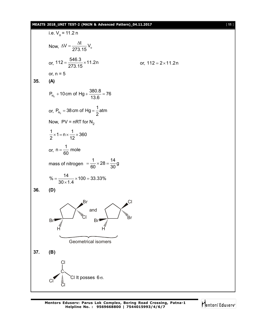#### **MEAITS 2018\_UNIT TEST-2 (MAIN & Advanced Pattern)\_04.11.2017** [ **11** ]

i.e. V<sub>o</sub> = 11.2 n  
\nNow, 
$$
\Delta V = \frac{\Delta t}{273.15} V_o
$$
  
\nor,  $112 = \frac{546.3}{273.15} \times 11.2n$  or,  $112 = 2 \times 11.2n$   
\nor,  $n = 5$   
\n35. (A)  
\n $P_{N_g} = 10 \text{cm of Hg} + \frac{380.8}{13.6} = 76$   
\nor,  $P_{N_g} = 38 \text{cm of Hg} = \frac{1}{2} \text{atm}$   
\nNow, PV = nRT for N<sub>2</sub>  
\n $\frac{1}{2} \times 1 = n \times \frac{1}{12} \times 360$   
\nor,  $n = \frac{1}{60} \text{ mole}$   
\nmass of nitrogen  $= \frac{1}{60} \times 28 = \frac{14}{30} \text{ g}$   
\n $\% = \frac{14}{30 \times 1.4} \times 100 = 33.33\%$   
\n36. (D)  
\n37. (B)  
\n $\text{C} \times \frac{1}{10} \text{ C} \times \frac{1}{10} \text{ C} \times \frac{1}{10} \text{ C} \times \frac{1}{10} \text{ C} \times \frac{1}{10} \text{ C} \times \frac{1}{10} \text{ C} \times \frac{1}{10} \text{ C} \times \frac{1}{10} \text{ C} \times \frac{1}{10} \text{ C} \times \frac{1}{10} \text{ C} \times \frac{1}{10} \text{ C} \times \frac{1}{10} \text{ C} \times \frac{1}{10} \text{ C} \times \frac{1}{10} \text{ C} \times \frac{1}{10} \text{ C} \times \frac{1}{10} \text{ C} \times \frac{1}{10} \text{ C} \times \frac{1}{10} \text{ C} \times \frac{1}{10} \text{ C} \times \frac{1}{10} \text{ C} \times \frac{1}{10} \text{ C} \times \frac{1}{10} \text{ C} \times \frac{1}{10} \text{ C} \times \frac{1}{10} \text{ C} \times \frac{1}{1$ 

Mentors Eduserv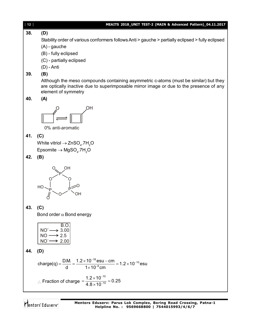[ **12** ] **MEAITS 2018\_UNIT TEST-2 (MAIN & Advanced Pattern)\_04.11.2017 38. (D)** Stability order of various conformers follows Anti > gauche > partially eclipsed > fully eclipsed (A) - gauche (B) - fully eclipsed (C) - partially eclipsed (D) - Anti **39. (B)** Although the meso compounds containing asymmetric c-atoms (must be similar) but they are optically inactive due to superimposable mirror image or due to the presence of any element of symmetry **40. (A)** OH 0% anti-aromatic **41. (C)** White vitriol  $\rightarrow$  ZnSO<sub>4</sub>.7H<sub>2</sub>O  $\mathsf{E} \mathsf{psomite} \to \mathsf{MgSO}_4.7\mathsf{H}_2\mathsf{O}$ **42. (B)** P O O O  $P$   $P$ O OH O O **HC** OH **43. (C)** Bond order  $\alpha$  Bond energy B.O.  $NO' \longrightarrow 3.00$  $NO \longrightarrow 2.5$  $NO^- \rightarrow 2.00$ **44. (D)**  $^{18}$ esu – cm  $_{-}$  1.2 $\times$ 10<sup>-10</sup> charge(q) =  $\frac{D.M.}{d}$  =  $\frac{1.2 \times 10^{-18} \text{ esu} - \text{cm}}{1 \times 10^{-8} \text{cm}}$  = 1.2 × 10<sup>-10</sup> esu d  $1 \times 10^{-8}$ cm <sup>-18</sup> esu – cm <sub>– 1.2×10</sub>-÷  $=\frac{DM}{1}=\frac{1.2\times10^{-18} \text{ esu}-\text{cm}}{1.12\times10^{-8}}=1.2\times1$  $\times$  $\therefore$  Fraction of charge 10  $\frac{1.2 \times 10^{-10}}{4.8 \times 10^{-10}} = 0.25$  $4.8 \times 10$ ÷ - $=\frac{1.2\times10^{-10}}{1.2\times10^{-10}}=0$  $\times$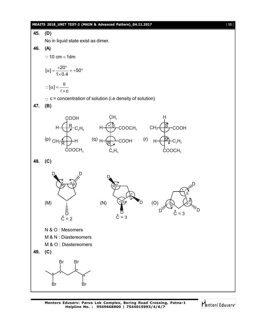

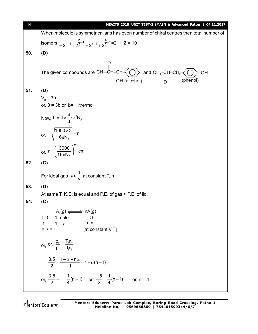| $[14]$ | MEAITS 2018_UNIT TEST-2 (MAIN & Advanced Pattern)_04.11.2017                                                                                  |
|--------|-----------------------------------------------------------------------------------------------------------------------------------------------|
|        | When molecule is symmetrical ans has even number of chiral centres then total number of                                                       |
|        | isomers $= 2^{n-1} + 2^{\frac{n}{2}-1} = 2^{4-1} + 2^{\frac{4}{2}-1} = 2^3 + 2 = 10$                                                          |
| 50.    | (D)                                                                                                                                           |
|        |                                                                                                                                               |
|        |                                                                                                                                               |
|        | The given compounds are CH <sub>3</sub> -CH-CH- $\bigodot$ and CH <sub>3</sub> -CH-CH <sub>2</sub> - $\bigodot$ OH<br>OH (alcohol) D (phenol) |
| 51.    | (D)                                                                                                                                           |
|        | $V_c = 3b$                                                                                                                                    |
|        | or, $3 = 3b$ or $b=1$ litre/mol                                                                                                               |
|        | Now, $b = 4 \times \frac{4}{3} \pi r^3 N_A$                                                                                                   |
|        | or, $\sqrt[3]{\frac{1000 \times 3}{16 \pi N_{\Delta}}}$ = r                                                                                   |
|        | or, $r = \left(\frac{3000}{16\pi N}\right)^{1/3}$ cm                                                                                          |
| 52.    | (C)                                                                                                                                           |
|        | For ideal gas $p \alpha \frac{1}{v}$ at constant T, n                                                                                         |
| 53.    | (D)                                                                                                                                           |
|        | At same T, K.E. is equal and P.E. of gas > P.E. of liq.                                                                                       |
| 54.    | (C)                                                                                                                                           |
|        | $A_n(g) \rightleftharpoons nA(g)$                                                                                                             |
|        | 1 mole<br>$t=0$<br>$\circ$<br>$n \alpha$<br>$\mathsf{t}$<br>$1 - \alpha$                                                                      |
|        | $p \alpha n$<br>[at constant V,T]                                                                                                             |
|        | or, or, $\frac{p_{f}}{p_{i}} = \frac{T_{f}n_{f}}{T_{i}n_{i}}$                                                                                 |
|        |                                                                                                                                               |
|        | $\frac{3.5}{2} = \frac{1 - \alpha + n\alpha}{1} = 1 + \alpha(n-1)$                                                                            |
|        | or, $\frac{3.5}{2} - 1 = \frac{1}{4}(n-1)$ or, $\frac{1.5}{2} = \frac{1}{4}(n-1)$ or, n = 4                                                   |
|        |                                                                                                                                               |

Mentors<sup>e</sup> Eduserv<sup>-</sup>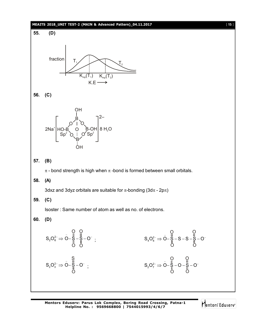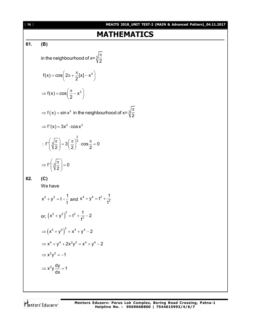**MATHEMATICS**  
\n**MATHEMATICS**  
\n**61.** (B)  
\nin the neighbourhood of 
$$
x = \sqrt[3]{\frac{\pi}{2}}
$$
  
\n $f(x) = cos(2\pi + \frac{\pi}{2}|x| - x^3)$   
\n $\Rightarrow f(x) = cos(\frac{\pi}{2} - x^3)$   
\n $\Rightarrow f(x) = sin x^3$  in the neighbourhood of  $x = \sqrt[3]{\frac{\pi}{2}}$   
\n $\Rightarrow f'(x) = 3x^2 \cdot cos x^3$   
\n $\therefore f'(\sqrt[3]{\frac{\pi}{2}}) = 3(\frac{\pi}{2})^{\frac{2}{3}} \cdot cos \frac{\pi}{2} = 0$   
\n $\Rightarrow f'(\sqrt[3]{\frac{\pi}{2}}) = 3(\frac{\pi}{2})^{\frac{2}{3}} \cdot cos \frac{\pi}{2} = 0$   
\n**62.** (C)  
\nWe have  
\n $x^2 + y^2 = t - \frac{1}{t}$  and  $x^4 + y^4 = t^2 + \frac{1}{t^2}$   
\nor,  $(x^2 + y^2)^2 = t^2 + \frac{1}{t^2} - 2$   
\n $\Rightarrow (x^2 + y^2)^2 = x^4 + y^4 - 2$   
\n $\Rightarrow x^4 + y^4 + 2x^2y^2 = x^4 + y^4 - 2$   
\n $\Rightarrow x^2y^2 = -1$   
\n $\Rightarrow x^3\frac{dy}{dx} = 1$ 

Mentors<sup>e</sup> Eduserv<sup>-</sup>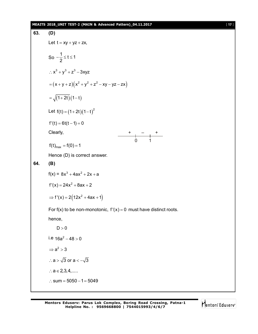#### **MEAITS 2018\_UNIT TEST-2 (MAIN & Advanced Pattern)\_04.11.2017** [ **17** ]

63. **(D)**  
\nLet 
$$
t = xy + yz + zx
$$
,  
\nSo  $-\frac{1}{2} \le t \le 1$   
\n $\therefore x^3 + y^3 + z^3 - 3xyz$   
\n $= (x + y + z)(x^2 + y^2 + z^2 - xy - yz - zx)$   
\n $= \sqrt{(1 + 2t)(1 - t)}$   
\nLet  $f(t) = (1 + 2t)(1 - t)^2$   
\n $f'(t) = 6t(t - 1) = 0$   
\nClearly,  
\n $f(t)_{max} = f(0) = 1$   
\nHence (D) is correct answer.  
\n64. **(B)**  
\n $f(x) = 8x^3 + 4ax^2 + 2x + a$   
\n $f'(x) = 24x^2 + 8ax + 2$   
\n $\Rightarrow f'(x) = 2(12x^2 + 4ax + 1)$   
\nFor  $f(x)$  to be non-monotonic,  $f'(x) = 0$  must have distinct roots.  
\nhence,  
\nD>0  
\ni.e  $16a^2 - 48 > 0$   
\n $\Rightarrow a^2 > 3$   
\n∴ a > √3 or a < -√3  
\n∴ a ∈ 2, 3, 4,.....  
\n∴ sum = 5050 - 1 = 5049

Mentors<sup>e</sup> Eduserv<sup>-</sup>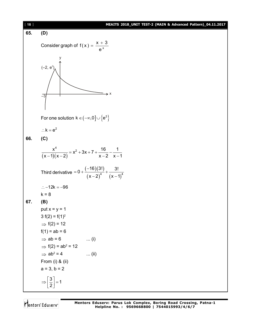

Mentors<sup>e</sup> Eduserv<sup>®</sup>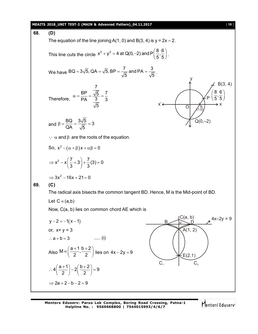#### **MEAITS 2018\_UNIT TEST-2 (MAIN & Advanced Pattern)\_04.11.2017** [ **19** ]

**68. (D)** The equation of the line joining  $A(1, 0)$  and  $B(3, 4)$  is  $y = 2x - 2$ . This line cuts the circle  $x^2 + y^2 = 4$  at Q(0,–2) and P $\left(\frac{8}{5}, \frac{6}{5}\right)$ +  $y^2$  = 4 at Q(0, -2) and P $\left(\frac{8}{5}, \frac{6}{5}\right)$ . We have BQ = 3 $\sqrt{5}$ , QA =  $\sqrt{5}$ , BP =  $\frac{7}{\sqrt{5}}$  and PA =  $\frac{3}{\sqrt{5}}$  $= 3\sqrt{5}$ , QA =  $\sqrt{5}$ , BP =  $\frac{7}{\sqrt{5}}$  and PA =  $\frac{9}{\sqrt{5}}$ . Therefore, 7  $\frac{\text{BP}}{\text{B}} = \frac{\sqrt{5}}{2} = \frac{7}{2}$ PA 3 3 5  $\alpha = \frac{\Delta I}{R} = \frac{\Delta I}{R} = \frac{1}{R}$ y x P 8 6 ,  $5^{\degree}5$ (86)  $\left(\overline{5},\overline{5}\right)$  $(5.5)$ B(3, 4)  $\overline{\mathrm{o}}$ A  $Q(0,-2)$ x' and  $\beta = \frac{BQ}{OA} = \frac{3\sqrt{5}}{\sqrt{5}} = 3$ QA  $\sqrt{5}$  $\beta = \frac{344}{24} = \frac{344}{\sqrt{2}} = 3$  $\therefore$   $\alpha$  and  $\beta$  are the roots of the equation. So,  $x^2 - (\alpha + \beta)x + \alpha\beta = 0$  $x^{2}-x\left(\frac{7}{2}+3\right)+\frac{7}{2}(3)=0$  $\Rightarrow$  x<sup>2</sup> - x $\left(\frac{7}{3} + 3\right) + \frac{7}{3}$ (3) = 0  $\Rightarrow 3x^2 - 16x + 21 = 0$ **69. (C)** The radical axis bisects the common tangent BD. Hence, M is the Mid-point of BD. Let  $C \equiv (a,b)$ Now, C(a, b) lies on common chord AE which is C(a, b)  $\widetilde{A}(1, 2)$  $E(2,1)$  $B \sim N D$  $C<sub>1</sub>$  $y - 2 = -1(x - 1)$  B or, x+ y = 3  $\therefore$  a + b = 3 ..... (i) Also  $M = \left( \frac{a+1}{2}, \frac{b+2}{2} \right)$  $2^{\prime}$  2  $\equiv \left(\frac{a+1}{2}, \frac{b+2}{2}\right)$  lies on  $4x - 2y = 9$  $4\left(\frac{a+1}{2}\right) - 2\left(\frac{b+2}{2}\right) = 9$ 2 ) ( 2  $\therefore 4\left(\frac{a+1}{2}\right)-2\left(\frac{b+2}{2}\right)=9$  $\Rightarrow$  2a + 2 - b - 2 = 9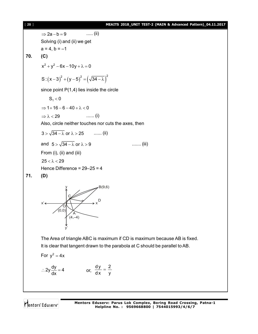[ **20** ] **MEAITS 2018\_UNIT TEST-2 (MAIN & Advanced Pattern)\_04.11.2017**  $\Rightarrow$  2a - b = 9 ..... (ii) Solving (i) and (ii) we get  $a = 4, b = -1$ **70. (C)**  $x^{2} + y^{2} - 6x - 10y + \lambda = 0$ S :  $(x-3)^2 + (y-5)^2 = (\sqrt{34 - \lambda})^2$ since point P(1,4) lies inside the circle  $S_1 < 0$  $\Rightarrow$  1+16 - 6 - 40 +  $\lambda$  < 0  $\Rightarrow \lambda < 29$  ....... (i) Also, circle neither touches nor cuts the axes, then  $3 > \sqrt{34 - \lambda}$  or  $\lambda > 25$  ....... (ii) and  $5 > \sqrt{34 - \lambda}$  or  $\lambda > 9$  ....... (iii) From (i), (ii) and (iii)  $25 < \lambda < 29$ 

Hence Difference = 29–25 = 4





The Area of triangle ABC is maximum if CD is maximum because AB is fixed. It is clear that tangent drawn to the parabola at C should be parallel to AB.

For 
$$
y^2 = 4x
$$

$$
\therefore 2y \frac{dy}{dx} = 4 \qquad \qquad \text{or,} \ \frac{dy}{dx} = \frac{2}{y}
$$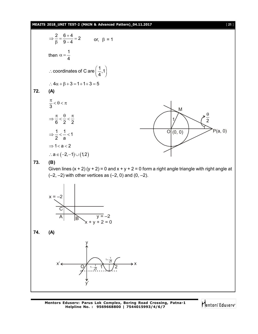#### **MEAITS 2018\_UNIT TEST-2 (MAIN & Advanced Pattern)\_04.11.2017** [ **21** ]



Mentors Eduserv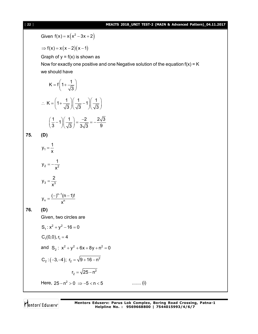#### [ **22** ] **MEAITS 2018\_UNIT TEST-2 (MAIN & Advanced Pattern)\_04.11.2017**

Given  $f(x) = x(x^2 - 3x + 2)$  $\Rightarrow$  f(x) = x(x-2)(x-1) Graph of  $y = f(x)$  is shown as Now for exactly one positive and one Negative solution of the equation  $f(x) = K$ we should have  $K = f \left( 1 + \frac{1}{\sqrt{2}} \right)$ 3  $=f\left(1+\frac{1}{\sqrt{3}}\right)$  $K = \left(1 + \frac{1}{\sqrt{2}}\right) \left(\frac{1}{\sqrt{2}} - 1\right) \left(\frac{1}{\sqrt{2}}\right)$  $3 \text{ } \sqrt{3}$   $\sqrt{3}$  $\therefore K = \left(1 + \frac{1}{\sqrt{3}}\right)\left(\frac{1}{\sqrt{3}} - 1\right)\left(\frac{1}{\sqrt{3}}\right)$  $\left(\frac{1}{2}-1\right)\left(\frac{1}{\sqrt{2}}\right) = \frac{-2}{2\sqrt{2}} = -\frac{2\sqrt{3}}{2}$ 3  $)(\sqrt{3})$  3 $\sqrt{3}$  9  $\left(\frac{1}{3}-1\right)\left(\frac{1}{\sqrt{3}}\right)=\frac{-2}{3\sqrt{3}}=-\frac{2}{3}$ **75. (D)** 1  $y_1 = \frac{1}{1}$ x  $=$ 2  $\sim$  2  $y_2 = -\frac{1}{3}$ x  $= 3 - \frac{1}{\sqrt{3}}$  $y_3 = \frac{2}{3}$ x  $=$ n-1,  $n - \frac{1}{2}$  $y_n = \frac{(-)^{n-1}(n-1)!}{n}$ x  $=\frac{(-)^{n-1}(n-1)}{n}$ **76. (D)** Given, two circles are  $S_1$ :  $x^2 + y^2 - 16 = 0$  $C<sub>1</sub>(0,0), r<sub>1</sub> = 4$ and  $S_2$ :  $x^2 + y^2 + 6x + 8y + n^2 = 0$  $C_2$  :  $(-3, -4)$ ;  $r_2 = \sqrt{9 + 16 - n^2}$  $r_2 = \sqrt{25 - n^2}$ Here,  $25 - n^2 > 0 \Rightarrow -5 < n < 5$  ........ (i)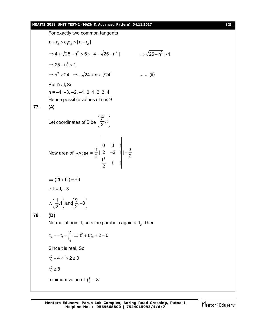#### **MEAITS 2018\_UNIT TEST-2 (MAIN & Advanced Pattern)\_04.11.2017** [ **23** ]

For exactly two common tangents  $r_1 + r_2 > c_1 c_2 > |r_1 - r_2|$  $\Rightarrow$  4 +  $\sqrt{25-n^2}$  > 5 >  $|$  4 -  $\sqrt{25-n^2}$  |  $\Rightarrow$   $\sqrt{25-n^2}$  > 1  $\Rightarrow$  25 – n<sup>2</sup> > 1  $\Rightarrow$  n<sup>2</sup> < 24  $\Rightarrow$   $-\sqrt{24}$  < n <  $\sqrt{24}$  ........ (ii) But  $n \in I$ , So  $n = -4, -3, -2, -1, 0, 1, 2, 3, 4.$ Hence possible values of n is 9 **77. (A)** Let coordinates of B be  $\frac{t^2}{2}$ , t  $\left(\frac{t^2}{2},t\right)$ Now area of  $\triangle AOB =$ 2 0 0 1  $\frac{1}{6}$ | 2 -2 1||=  $2^{\prime}$   $\begin{bmatrix} 2 & 2 \end{bmatrix}$  $\frac{t^2}{2}$  t 1 2  $-2 \quad 1| = \frac{3}{2}$  $\Rightarrow$  (2t + t<sup>2</sup>) = ±3 :.  $t = 1, -3$  $\left(\frac{1}{2},1\right)$  and  $\left(\frac{9}{2},-3\right)$  $\therefore \left(\frac{1}{2},1\right)$  and  $\left(\frac{9}{2},-3\right)$ **78. (D)** Normal at point  $\mathfrak{t}_{\mathfrak{q}}$  cuts the parabola again at  $\mathfrak{t}_{\mathfrak{z}}.$  Then  $t_2 = -t_1 - \frac{2}{t_1} \Rightarrow t_1^2 + t_1t_2$ 1  $t_2 = -t_1 - \frac{2}{t_1} \implies t_1^2 + t_1t_2 + 2 = 0$ t  $=-t_1-\frac{2}{1} \Rightarrow t_1^2+t_1t_2+2=0$ Since t is real, So  $t_2^2 - 4 \times 1 \times 2 \ge 0$  $t_2^2 \ge 8$ minimum value of  $t_2^2 = 8$ 

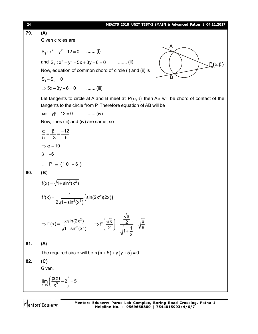| $[24]$ | MEAITS 2018_UNIT TEST-2 (MAIN & Advanced Pattern)_04.11.2017                                                                                                                                          |
|--------|-------------------------------------------------------------------------------------------------------------------------------------------------------------------------------------------------------|
| 79.    | (A)                                                                                                                                                                                                   |
|        | Given circles are                                                                                                                                                                                     |
|        | A<br>$S_1: x^2 + y^2 - 12 = 0$ (i)                                                                                                                                                                    |
|        | and $S_2$ : $x^2 + y^2 - 5x + 3y - 6 = 0$ (ii)<br>$\mathcal{L}(\alpha,\beta)$                                                                                                                         |
|        | Now, equation of common chord of circle (i) and (ii) is                                                                                                                                               |
|        | B<br>$S_1 - S_2 = 0$                                                                                                                                                                                  |
|        | $\Rightarrow$ 5x - 3y - 6 = 0  (iii)                                                                                                                                                                  |
|        | Let tangents to circle at A and B meet at $P(\alpha, \beta)$ then AB will be chord of contact of the<br>tangents to the circle from P. Therefore equation of AB will be                               |
|        | $x\alpha + y\beta - 12 = 0$ (iv)                                                                                                                                                                      |
|        | Now, lines (iii) and (iv) are same, so                                                                                                                                                                |
|        | $\frac{\alpha}{5} = \frac{\beta}{-3} = \frac{-12}{-6}$                                                                                                                                                |
|        | $\Rightarrow \alpha = 10$                                                                                                                                                                             |
|        | $\beta = -6$                                                                                                                                                                                          |
|        | $\therefore$ P = (10, -6)                                                                                                                                                                             |
| 80.    | (B)                                                                                                                                                                                                   |
|        | $f(x) = \sqrt{1 + \sin^2(x^2)}$                                                                                                                                                                       |
|        | $f'(x) = \frac{1}{2\sqrt{1 + \sin^2(x^2)}} (\sin(2x^2)(2x))$                                                                                                                                          |
|        | $\Rightarrow f'(x) = \frac{x \sin(2x^2)}{\sqrt{1 + \sin^2(x^2)}} \qquad \Rightarrow f'\left(\frac{\sqrt{\pi}}{2}\right) = \frac{\frac{\sqrt{\pi}}{2}}{\sqrt{1 + \frac{1}{2}}} = \sqrt{\frac{\pi}{6}}$ |
| 81.    | (A)                                                                                                                                                                                                   |
|        | The required circle will be $x(x+5)+y(y+5)=0$                                                                                                                                                         |
| 82.    | (C)                                                                                                                                                                                                   |
|        | Given,                                                                                                                                                                                                |
|        | $\lim_{x\to 0} \left( \frac{p(x)}{x^5} - 2 \right) = 5$                                                                                                                                               |

Mentors<sup>®</sup> Eduserv<sup>®</sup>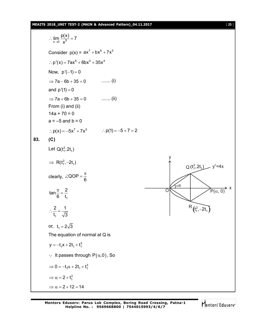**MEAITS 2018\_UNIT TEST-2 (MAIN & Advanced Pattern)\_04.11.2017** [ **25** ]

$$
\lim_{x\to 0} \frac{p(x)}{x^5} = 7
$$
  
\nConsider p(x) = ax<sup>7</sup> + bx<sup>6</sup> + 7x<sup>5</sup>  
\n∴ p'(x) = 7ax<sup>6</sup> + 6bx<sup>5</sup> + 35x<sup>4</sup>  
\nNow, p'(-1) = 0  
\n⇒ 7a - 6b + 35 = 0 ......(i)  
\nand p'(1) = 0  
\n⇒ 7a + 6b + 35 = 0 ......(ii)  
\nFrom (i) and (ii)  
\n14a + 70 = 0  
\na = -5 and b = 0  
\n∴ p(x) = -5x<sup>7</sup> + 7x<sup>5</sup> ∴ p(1) = -5 + 7 = 2  
\n83. (C)  
\nLet Q(t<sub>1</sub><sup>2</sup>,2t<sub>1</sub>)  
\n⇒ R(t<sub>1</sub><sup>2</sup>, -2t<sub>1</sub>)  
\nClearly, ∠QOP =  $\frac{\pi}{6}$   
\n
$$
\tan \frac{\pi}{6} = \frac{2}{t_1}
$$
  
\n∴  $\frac{2}{t_1} = \frac{1}{\sqrt{3}}$   
\nor, t<sub>1</sub> = 2 $\sqrt{3}$   
\nThe equation of normal at Q is  
\n $y = -t_1x + 2t_1 + t_1^3$   
\n∴ it passes through P( $\alpha$ , 0), So  
\n⇒ 0 = -t<sub>1</sub> $\alpha$  + 2t<sub>1</sub> + t<sub>1</sub><sup>2</sup>  
\n⇒  $\alpha = 2 + t_1^2$   
\n⇒  $\alpha = 2 + 12 = 14$ 

Mentors<sup>e</sup> Eduserv<sup>-</sup>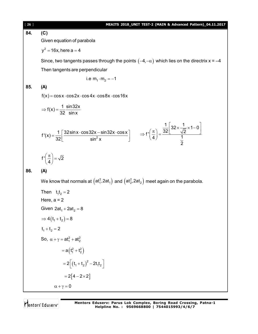| [26] | MEAITS 2018_UNIT TEST-2 (MAIN & Advanced Pattern)_04.11.2017                                                                                                                                                                         |
|------|--------------------------------------------------------------------------------------------------------------------------------------------------------------------------------------------------------------------------------------|
| 84.  | (C)                                                                                                                                                                                                                                  |
|      | Given equation of parabola                                                                                                                                                                                                           |
|      | $y^2 = 16x$ , here a = 4                                                                                                                                                                                                             |
|      | Since, two tangents passes through the points $(-4,-\alpha)$ which lies on the directrix x = -4                                                                                                                                      |
|      | Then tangents are perpendicular                                                                                                                                                                                                      |
|      | i.e $m_1 \cdot m_2 = -1$                                                                                                                                                                                                             |
| 85.  | (A)                                                                                                                                                                                                                                  |
|      | $f(x) = \cos x \cdot \cos 2x \cdot \cos 4x \cdot \cos 8x \cdot \cos 16x$                                                                                                                                                             |
|      | $\Rightarrow$ f(x) = $\frac{1}{32} \frac{\sin 32x}{\sin x}$                                                                                                                                                                          |
|      | $f'(x) = \frac{1}{32} \left[ \frac{32 \sin x \cdot \cos 32x - \sin 32x \cdot \cos x}{\sin^2 x} \right]$ $\Rightarrow f'\left(\frac{\pi}{4}\right) = \frac{\frac{1}{32} \left[ 32 \times \frac{1}{\sqrt{2}} \times 1 - 0 \right]}{1}$ |
|      | $f'\left(\frac{\pi}{4}\right) = \sqrt{2}$                                                                                                                                                                                            |
| 86.  | (A)                                                                                                                                                                                                                                  |
|      | We know that normals at $(\text{at}_1^2, 2\text{at}_1)$ and $(\text{at}_2^2, 2\text{at}_2)$ meet again on the parabola.                                                                                                              |
|      | Then $t_1t_2 = 2$                                                                                                                                                                                                                    |
|      | Here, $a = 2$                                                                                                                                                                                                                        |
|      | Given $2at_1 + 2at_2 = 8$                                                                                                                                                                                                            |
|      | $\Rightarrow$ 4(t <sub>1</sub> + t <sub>2</sub> ) = 8                                                                                                                                                                                |
|      | $t_1 + t_2 = 2$                                                                                                                                                                                                                      |
|      | So, $\alpha + \gamma = at_1^2 + at_2^2$                                                                                                                                                                                              |
|      | $= a(t_1^2 + t_2^2)$                                                                                                                                                                                                                 |
|      | $=2\left[ \left( t_{1}+t_{2}\right) ^{2}-2t_{1}t_{2}\right]$                                                                                                                                                                         |
|      | $= 2[4-2 \times 2]$                                                                                                                                                                                                                  |
|      | $\alpha + \gamma = 0$                                                                                                                                                                                                                |
|      |                                                                                                                                                                                                                                      |

Mentors<sup>®</sup> Eduserv<sup>®</sup>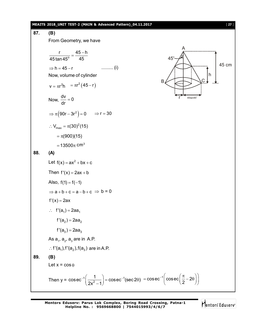#### **MEAITS 2018\_UNIT TEST-2 (MAIN & Advanced Pattern)\_04.11.2017** [ **27** ]

87. **(B)**  
\nFrom Geometry, we have  
\n
$$
\frac{r}{45 \tan 45^\circ} = \frac{45 - h}{45}
$$
\n $\Rightarrow h = 45 - r$  ......... (i)  
\nNow, volume of cylinder  
\n $v = \pi r^2 h = \pi r^2 (45 - r)$   
\nNow,  $\frac{dv}{dr} = 0$   
\n $\Rightarrow \pi (90r - 3r^2) = 0 \Rightarrow r = 30$   
\n $\therefore V_{max} = \pi (30)^2 (15)$   
\n $= 13500\pi \text{ cm}^3$   
\n88. **(A)**  
\nLet  $f(x) = ax^2 + bx + c$   
\nThen  $f'(x) = 2ax + b$   
\nAlso,  $f(1) = f(-1)$   
\n $\Rightarrow a + b + c = a - b + c \Rightarrow b = 0$   
\n $f'(x) = 2ax$   
\n $\therefore f'(a_1) = 2aa_1$   
\n $f'(a_2) = 2aa_2$   
\n $f'(a_3) = 2aa_3$   
\nAs a, a<sub>2</sub>, a<sub>3</sub> are in A.P.  
\n $\therefore f'(a_1), f'(a_2), f(a_3)$  are in A.P.  
\n89. **(B)**  
\nLet  $x = cos \theta$   
\nThen  $y = cosec^{-1}(\frac{1}{2x^2 - 1}) = cosec^{-1}(sec 2\theta) = cosec^{-1}(cosec(\frac{\pi}{2} - 2\theta))$ 

Mentors<sup>e</sup> Eduserv<sup>-</sup>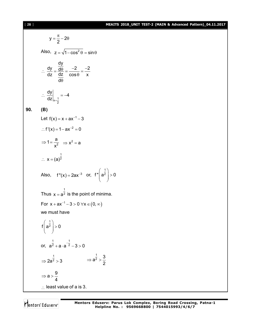### [ **28** ] **MEAITS 2018\_UNIT TEST-2 (MAIN & Advanced Pattern)\_04.11.2017**

$$
y = \frac{\pi}{2} - 2\theta
$$
  
\nAlso,  $z = \sqrt{1 - \cos^2 \theta} = \sin \theta$   
\n
$$
\therefore \frac{dy}{dz} = \frac{\frac{dy}{d\theta}}{\frac{dz}{d\theta}} = \frac{-2}{\cos \theta} = \frac{-2}{x}
$$
  
\n
$$
\therefore \frac{dy}{dz}\Big|_{x=\frac{1}{2}} = -4
$$
  
\n90. (B)  
\nLet  $f(x) = x + ax^{-1} - 3$   
\n
$$
\therefore f'(x) = 1 - ax^{-2} = 0
$$
  
\n
$$
\Rightarrow 1 = \frac{a}{x^2} \Rightarrow x^2 = a
$$
  
\n
$$
\therefore x = (a)^{\frac{1}{2}}
$$
  
\nAlso,  $f''(x) = 2ax^{-3}$  or,  $f''(a^{\frac{1}{2}}) > 0$   
\nThus  $x = a^{\frac{1}{2}}$  is the point of minima.  
\nFor  $x + ax^{-1} - 3 > 0 \forall x \in (0, \infty)$   
\nwe must have  
\n $f(a^{\frac{1}{2}}) > 0$   
\nor,  $a^{\frac{1}{2}} + a \cdot a^{-\frac{1}{2}} - 3 > 0$   
\n
$$
\Rightarrow 2a^{\frac{1}{2}} > 3 \Rightarrow a^{\frac{1}{2}} > \frac{3}{2}
$$
  
\n
$$
\Rightarrow a > \frac{9}{4}
$$
  
\n
$$
\therefore
$$
 least value of a is 3.

Mentors<sup>e</sup> Eduserv<sup>-</sup>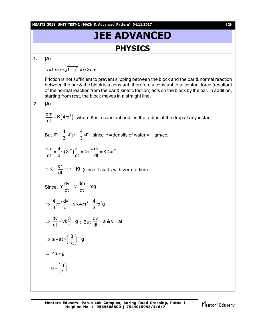**MEAITS 2018\_UNIT TEST-2 (MAIN & Advanced Pattern)\_04.11.2017** [ **29** ]

# **JEE ADVANCED PHYSICS**

**1. (A)**

s =L $\sin\theta\sqrt{1 + \mu^2} = 0.3$ cm

Friction is not sufficient to prevent slipping between the block and the bar & normal reaction between the bar & the block is a constant, therefore a constant total contact force (resultant of the normal reaction from the bar & kinetic friction) acts on the block by the bar. In addition, starting from rest, the block moves in a straight line.

**2. (A)**

 $\frac{dm}{dt} = K(4\pi r^2)$  $\frac{d\Omega}{dt}$  = K $(4\pi r^2)$  , where K is a constant and r is the radius of the drop at any instant.

But 
$$
m = \frac{4}{3} \pi r^3 \rho = \frac{4}{3} \pi r^3
$$
, since  $\rho$  = density of water = 1 gm/cc.

$$
\frac{dm}{dt}=\frac{4}{3}\,\pi\Big(3r^2\Big)\frac{dr}{dt}=4\pi r^2\,\frac{dr}{dt}=K\,4\pi r^2
$$

$$
\therefore K = \frac{dr}{dt} \Rightarrow r = Kt \text{ (since it starts with zero radius)}
$$

Since, 
$$
m \frac{dv}{dt} + v \frac{dm}{dt} = mg
$$

$$
\Rightarrow \frac{4}{3}\pi r^3 \frac{dv}{dt} + vK 4\pi r^2 = \frac{4}{3}\pi r^3 g
$$

$$
\Rightarrow \frac{dv}{dt} + vk \frac{3}{r} = g \ ; \ But \ \frac{dv}{dt} = a \& v = at
$$

$$
\Rightarrow a + at K \left(\frac{3}{Kt}\right) = g
$$

 $a = \left(\frac{g}{f}\right)$  $\therefore$  a =  $\left(\frac{9}{4}\right)$ 

$$
\Rightarrow 4a = g
$$

**Mentors Eduserv: Parus Lok Complex, Boring Road Crossing, Patna-1 Helpline No. : 9569668800 | 7544015993/4/6/7**

$$
\bigcap_{i=1}^{\infty} \mathsf{entors}^i \in \mathsf{G} \mathsf{u} \mathsf{ser} \mathsf{v}^i
$$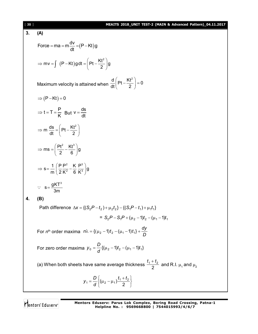## [ **30** ] **MEAITS 2018\_UNIT TEST-2 (MAIN & Advanced Pattern)\_04.11.2017 3. (A)** Force = ma = m $\frac{dv}{dt}$  = (P – Kt)g dt =ma = m—− =(P – ł  $mv = \int (P - Kt) g dt = \left( Pt - \frac{Kt^2}{2}\right)g$ 2  $\Rightarrow$  mv =  $\int$   $(P-Kt)gdt = \left(Pt - \frac{Kt^2}{2}\right)g$ Maximum velocity is attained when  $\frac{d}{dt} \left( Pt - \frac{Kt^2}{2} \right) = 0$  $\frac{d}{dt} \left( Pt - \frac{Kt^2}{2} \right) = 0$  $(2)$  $\Rightarrow$  (P-Kt) = 0  $t = T = \frac{P}{R}$  $\Rightarrow$  t = T =  $\frac{P}{K}$  But v =  $\frac{ds}{dt}$ dt  $=$ m  $\frac{ds}{dt} = \left( Pt - \frac{Kt^2}{2} \right)$ dt (2  $\Rightarrow$  m  $\frac{ds}{dt} = \left( Pt - \frac{Kt^2}{2}\right)$  $\text{ms} = \left(\frac{\text{Pt}^2}{\text{g}} - \frac{\text{Kt}^3}{\text{g}}\right) \text{g}$ 2 6  $\Rightarrow$  ms =  $\left(\frac{Pt^2}{2} - \frac{Kt^3}{6}\right)$ g 2  $\mathsf{K}$  D<sup>3</sup> 2  $\epsilon$   $\sqrt{3}$  $s = \frac{1}{2} \left( \frac{P}{2} \frac{P^2}{H^2} - \frac{K}{2} \frac{P^3}{H^3} \right) g$  $m \mid 2 K^{2}$  6 K  $\Rightarrow$  s =  $\frac{1}{m} \left( \frac{P}{2} \frac{P^2}{K^2} - \frac{K}{6} \frac{P^3}{K^3} \right) g$  $s = \frac{gKT^3}{2}$ 3m  $\therefore$  s= **4. (B) Path difference**  $\Delta x = \{ (S_2 P - t_2) + \mu_2 t_2 \} - \{ (S_3 P - t_1) + \mu_1 t_1 \}$  $= S_2 P - S_1 P + (\mu_2 - 1)t_2 - (\mu_1 - 1)t_1$ For *n*<sup>th</sup> order maxima  $n\lambda = \{(\mu_2 - 1)t_2 - (\mu_1 - 1)t_1\} + \frac{d^2y}{D}$  $n\lambda = \{(\mu_2 - 1)t_2 - (\mu_1 - 1)t_1\} + \frac{dy}{2}$ For zero order maxima  $y_0 = -\frac{1}{a} \{ (\mu_2 - 1)t_2 - (\mu_1 - 1)t_1 \}$ *d*  $y_0 = \frac{D}{4} \{ (\mu_2 - 1)t_2 - (\mu_1 -$ (a) When both sheets have same average thickness  $\frac{t_1 + t_2}{2}$ and R.I.  $\mu_1$  and  $\mu_2$  $\mathbf{I}$  $t_1 + t$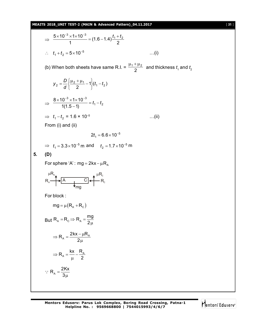**MEAITS 2018\_UNIT TEST-2 (MAIN & Advanced Pattern)\_04.11.2017** [ **31** ]

 $\Rightarrow \frac{64.18 \times 10^{10}}{1} = (1.6 - 1.4) \frac{11}{2}$ 1  $\frac{5 \times 10^{-3} \times 1 \times 10^{-3}}{4} = (1.6 - 1.4) \frac{t_1 + t_2}{2}$  $\therefore$   $t_1 + t_2 = 5 \times 10^{-5}$  ...(i) (b) When both sheets have same R.I. =  $\frac{m}{2}$  $\frac{\mu_1 + \mu_2}{2}$  and thickness  $t_1$  and  $t_2$  $1\{(t_1 - t_2)\}$  $t_2 = \frac{b}{d} \left\{ \frac{\mu_2 + \mu_1}{2} - 1 \right\} (t_1 - t_2)$ *d*  $y_2 = \frac{D}{l} \left\{ \frac{\mu_2 + \mu_1}{2} - 1 \right\} (t_1 -$ J  $\left\{ \right\}$  $\mathbf{I}$  $\overline{\mathfrak{l}}$ ↑  $=\frac{D}{4}$  $\left\{\frac{\mu_2+\mu_1}{2}-\right\}$  $\Rightarrow \frac{1}{11.5} = t_1 - t_2$  $3\sqrt{4}\sqrt{4}$   $^{-3}$  $1(1.5 - 1)$  $\frac{8 \times 10^{-3} \times 1 \times 10^{-3}}{4(4.5-4)} = t_1 - t$  $\overline{\phantom{0}}$  $\times 10^{-3}$   $\times 1 \times 10^{-5}$  $\Rightarrow$   $t_1 - t_2 = 1.6 \times 10^{-5}$  ...(ii) From (i) and (ii)  $2t_1 = 6.6 \times 10^{-5}$  $\Rightarrow$   $t_1 = 3.3 \times 10^{-5}$  m and  $t_2 = 1.7 \times 10^{-5}$  m **5. (D)** For sphere 'A' : mg =  $2kx - \mu R_A$ A C mg  $R_{\scriptscriptstyle\mathsf{A}}$   $\longrightarrow$   $\hspace{-.15cm}$   $\hspace{-.15cm} \rightarrow$   $\hspace{-.15cm} R_{\scriptscriptstyle\mathsf{C}}$   $\hspace{-.15cm} \rightarrow$   $\hspace{-.15cm} \rightarrow$   $\hspace{-.15cm} \rightarrow$   $\hspace{-.15cm} \rightarrow$   $\hspace{-.15cm} \rightarrow$   $\hspace{-.15cm} \rightarrow$   $\hspace{-.15cm} \rightarrow$   $\hspace{-.15cm} \rightarrow$   $\hspace{-.15cm} \rightarrow$   $\hspace{-.15cm} \rightarrow$   $\hspace{-.15cm} \$  $\mu R_{\rm A}$   $\mu R_{\rm C}$ For block :  $mg = \mu (R_A + R_C)$ But  $R_A = R_C \Rightarrow R_A = \frac{mg}{2m}$ 2  $=$   $R_c$   $\Rightarrow$   $R_A$   $=$   $\frac{1}{2}$  $\mu$  $R_A = \frac{2kx - \mu R_A}{2m}$ 2  $\Rightarrow$  R<sub>A</sub> =  $\frac{2kx - \mu F}{2}$ μ  $A = \frac{IN}{N} - \frac{IN}{2}$  $R_{\rm A} = \frac{\text{kx}}{2} - \frac{\text{R}}{2}$ 2  $\Rightarrow$  R<sub>A</sub> =  $\frac{100}{10}$  -  $\frac{1}{2}$  $\mu$  $R_A = \frac{2Kx}{3H}$ 3  $=$ μ  $\ddot{\cdot}$ 

Mentors Eduserv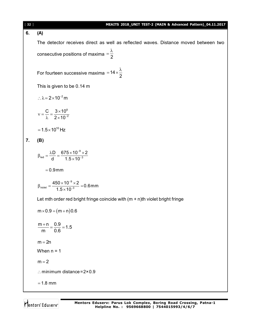| $[32]$ | MEAITS 2018_UNIT TEST-2 (MAIN & Advanced Pattern)_04.11.2017                                        |
|--------|-----------------------------------------------------------------------------------------------------|
| 6.     | (A)                                                                                                 |
|        | The detector receives direct as well as reflected waves. Distance moved between two                 |
|        | consecutive positions of maxima = $\frac{\lambda}{2}$                                               |
|        | For fourteen successive maxima = $14 \times \frac{\lambda}{2}$                                      |
|        | This is given to be 0.14 m                                                                          |
|        | : $\lambda = 2 \times 10^{-2}$ m                                                                    |
|        | $v = \frac{C}{\lambda} = \frac{3 \times 10^8}{2 \times 10^{-2}}$                                    |
|        | $=1.5\times10^{10}$ Hz                                                                              |
| 7.     | (B)                                                                                                 |
|        | $\beta_{\text{red}} = \frac{\lambda D}{d} = \frac{675 \times 10^{-9} \times 2}{1.5 \times 10^{-3}}$ |
|        | $= 0.9$ mm                                                                                          |
|        | $\beta_{\text{violet}} = \frac{450 \times 10^{-9} \times 2}{1.5 \times 10^{-3}} = 0.6 \text{mm}$    |
|        | Let mth order red bright fringe coincide with $(m + n)$ th violet bright fringe                     |
|        | $m \times 0.9 = (m+n)0.6$                                                                           |
|        | $\frac{m+n}{m} = \frac{0.9}{0.6} = 1.5$                                                             |
|        | $m = 2n$                                                                                            |
|        | When $n = 1$                                                                                        |
|        | $m = 2$                                                                                             |
|        | : minimum distance = $2 \times 0.9$                                                                 |
|        | $= 1.8$ mm                                                                                          |
|        |                                                                                                     |

Mentors<sup>®</sup> Eduserv<sup>®</sup>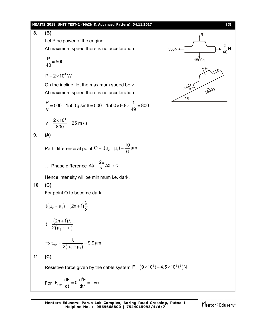#### **MEAITS 2018\_UNIT TEST-2 (MAIN & Advanced Pattern)\_04.11.2017** [ **33** ]

P N 40

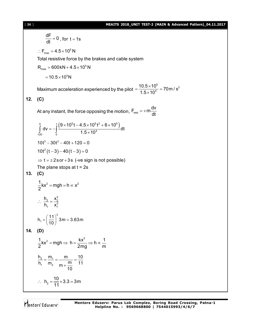### [ **34** ] **MEAITS 2018\_UNIT TEST-2 (MAIN & Advanced Pattern)\_04.11.2017**

 $= 70$  m  $\sqrt{e^2}$ 

$$
\frac{dF}{dt} = 0, \text{ for } t = 1s
$$
\n  
\n∴ F<sub>max</sub> = 4.5×10<sup>5</sup> N  
\nTotal resistive force by the brakes and cable system  
\nR<sub>max</sub> = 600kN + 4.5×10<sup>5</sup> N  
\n= 10.5×10<sup>5</sup> N  
\nMaximum acceleration experienced by the pilot =  $\frac{10.5×105}{1.5×104} = 70 \text{ m/s}^2$   
\n12. (C)  
\nAt any instant, the force opposing the motion, F<sub>rest</sub> = +m $\frac{dv}{dt}$   
\n
$$
\int_{120}^{0} dv = -\int_{0}^{1} \frac{(9 \times 105t - 4.5 \times 105t2 + 6 \times 105)}{1.5 \times 104} dt
$$
  
\n10t<sup>3</sup> - 30t<sup>2</sup> - 40t + 120 = 0  
\n10t<sup>2</sup>(t - 3) - 40(t - 3) = 0  
\n⇒ t = ±2s or + 3s ( -ve sign is not possible)  
\nThe plane stops at t = 2s  
\n13. (C)  
\n
$$
\frac{1}{2}kx^2 = mgh = h \propto x^2
$$
\n∴  $\frac{h_2}{h_1} = \frac{x_2^2}{x_1^2}$   
\n $h_1 = (\frac{11}{10})^2 3m = 3.63m$   
\n14. (D)  
\n
$$
\frac{1}{2}kx^2 = mgh \Rightarrow h = \frac{kx^2}{2mg} \Rightarrow h \propto \frac{1}{m}
$$
  
\n $\frac{h_2}{h_1} = \frac{m_1}{m_2} = \frac{m}{m + \frac{m}{10}} = \frac{10}{11}$   
\n∴  $h_2 = \frac{10}{11} \times 3.3 = 3m$ 

Mentors<sup>®</sup> Eduserv<sup>®</sup>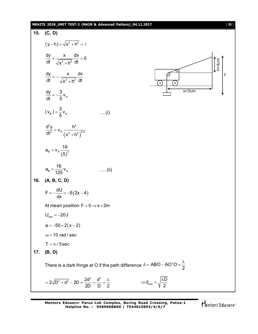### **MEAITS 2018\_UNIT TEST-2 (MAIN & Advanced Pattern)\_04.11.2017** [ **35** ]

15. (C, D)  
\n
$$
(y - h) + \sqrt{x^2 + h^2} = \ell
$$
\n
$$
\frac{dy}{dt} + \frac{x}{\sqrt{x^2 + h^2}} \frac{dx}{dt} = 0
$$
\n
$$
\frac{dy}{dt} = -\frac{x}{\sqrt{x^2 + h^2}} \frac{dx}{dt}
$$
\n
$$
\frac{dy}{dt} = -\frac{3}{5}v_A
$$
\n
$$
|v_n| = \frac{3}{5}v_A
$$
\n
$$
\frac{d^2y}{dt^2} = v_A \frac{h^2}{(x^2 + h^2)^{3/2}}
$$
\n
$$
a_n = v_A \frac{16}{(5)^3}
$$
\n
$$
a_n = \frac{16}{125}v_A
$$
\n
$$
v = -\frac{dU}{dx} = -5(2x - 4)
$$
\nAt mean position F = 0  $\Rightarrow$  x = 2m  
\n
$$
u_{mn} = -20J
$$
\n
$$
a = -50 \times 2(x - 2)
$$
\n
$$
u = -10 \text{ rad/sec}
$$
\n
$$
T = \pi / 5 \text{ sec}
$$
\n17. (B, D)  
\nThere is a dark fringe at O if the path difference  $\delta = ABO - AO'O = \frac{\lambda}{2}$   
\n
$$
= 2\sqrt{D^2 + d^2} - 2D = \frac{2d^2}{2D} = \frac{d^2}{D} = \frac{\lambda}{2}
$$
\n
$$
\Rightarrow d_{min} = \sqrt{\frac{\lambda D}{2}}
$$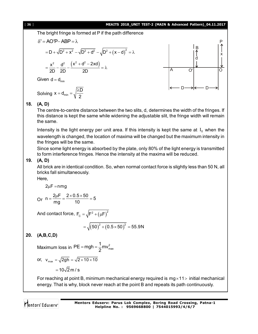#### [ **36** ] **MEAITS 2018\_UNIT TEST-2 (MAIN & Advanced Pattern)\_04.11.2017**

The bright fringe is formed at P if the path difference

$$
\delta' = AO'P - ABP = \lambda
$$
  
= D +  $\sqrt{D^2 + x^2} - \sqrt{D^2 + d^2} - \sqrt{D^2 + (x - d)^2} = \lambda$   
=  $\frac{x^2}{2D} - \frac{d^2}{2D} - \frac{(x^2 + d^2 - 2xd)}{2D} = \lambda$ 

Given  $d = d_{\min}$ 

Solving  $x = d_{min}$  $x = d_{\min} = \sqrt{\frac{\lambda D}{2}}$ 2  $= d_{\min} = \sqrt{\frac{\lambda}{4}}$ 



#### **18. (A, D)**

The centre-to-centre distance between the two slits, d, determines the width of the fringes. If this distance is kept the same while widening the adjustable slit, the fringe width will remain the same.

Intensity is the light energy per unit area. If this intensity is kept the same at  $I_0$  when the wavelength is changed, the location of maxima will be changed but the maximum intensity in the fringes will be the same.

Since some light energy is absorbed by the plate, only 80% of the light energy is transmitted to form interference fringes. Hence the intensity at the maxima will be reduced.

#### **19. (A, D)**

All brick are in identical condition. So, when normal contact force is slightly less than 50 N, all bricks fall simultaneously.

Here,

$$
2\mu F = nmg
$$

Or 
$$
n = \frac{2\mu F}{mg} = \frac{2 \times 0.5 \times 50}{10} = 5
$$

And contact force,  $\mathsf{F}_{\rm C} = \sqrt{\mathsf{F}^2 + \left(\mu\mathsf{F}\right)^2}$ 

$$
= \sqrt{(50)^2 + (0.5 \times 50)^2} = 55.9 \text{N}
$$

## **20. (A,B,C,D)**

Maximum loss in PE = mgh =  $\frac{1}{2}$ mv $_{\text{max}}^2$  $PE = mgh = \frac{1}{2}mv$ 2  $=$  mgh  $=$  -

or, 
$$
v_{max} = \sqrt{2gh} = \sqrt{2 \times 10 \times 10}
$$
  
=  $10\sqrt{2}$  m/s

For reaching at point B, minimum mechanical energy required is  $mg \times 11$  initial mechanical energy. That is why, block never reach at the point B and repeats its path continuously.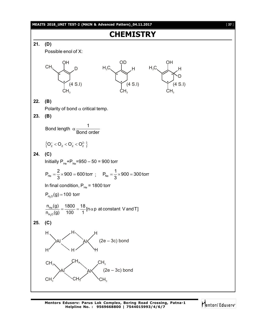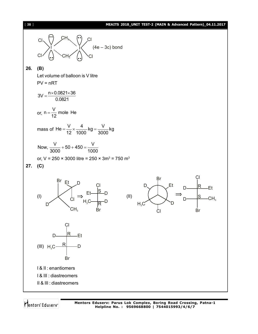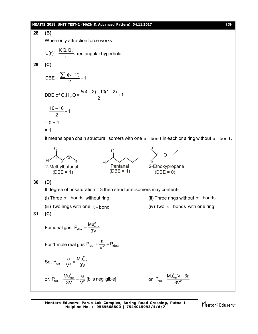#### **MEAITS 2018\_UNIT TEST-2 (MAIN & Advanced Pattern)\_04.11.2017** [ **39** ]

**28. (B)** When only attraction force works  $U(r) = \frac{K Q_{1} Q_{2}}{V}$  $=\frac{R\cdot Q}{r^2}$ , rectangular hyperbola **29. (C)**  $n(v-2)$ DBE =  $\frac{24}{9}$  + 1 2  $=\frac{\sum n(v-2)}{2}+1$ DBE of  $C_5H_{10}O = \frac{5(4-2)+10(1-2)}{2} + 1$ 2  $=\frac{5(4-2)+10(1-2)}{2}+1$  $\frac{10-10}{2}+1$ 2  $=\frac{10-10}{2}+1$  $= 0 + 1$  $= 1$ It means open chain structural isomers with one  $\pi$  -bond in each or a ring without  $\pi$  -bond. O H 1 2 3 4 2-Methylbutanal  $(DBE = 1)$ O H Pentanal  $(DBE = 1)$ O 1 2 3 2-Ethoxypropane  $(DBE = 0)$ **30. (D)** If degree of unsaturation = 3 then structural isomers may content- (i) Three  $\pi$ -bonds without ring (ii) Three rings without  $\pi$ -bonds (iii) Two rings with one  $\pi$ -bond (iv) Two  $\pi$ -bonds with one ring **31. (C)** For ideal gas,  $P_{\text{ideal}} = \frac{M u_{\text{rms}}^2}{2 M}$ 3V  $=$ For 1 mole real gas  $\frac{P_{\text{real}}}{V^{2}}$  =  $P_{\text{ideal}}$  $P_{\text{real}} + \frac{a}{\sqrt{2}} = P_{\text{i}}$ V +  $\frac{a}{\cdot \cdot \cdot 2}$  = F So,  $P_{\text{real}} + \frac{a}{\sqrt{2}} = \frac{M u_{\text{rms}}^2}{3 M}$  $V^2$  3V  $+\frac{a}{12} =$ or, 2  $r_{\text{real}} = \frac{m_{\text{rms}}}{3} - \frac{a}{\sqrt{2}}$  $P_{\text{real}} = \frac{M u_{\text{rms}}^2}{2 M} - \frac{a}{M^2}$  [b is negligible]  $=\frac{3\sqrt{2}}{3} - \frac{a}{\sqrt{2}}$  [b is negligible] or, 2  $P_{\text{real}} = \frac{M u_{\text{rms}}^2 V - 3a}{3V^2}$ 3V  $=\frac{M u_{\rm rms}^2 V -}{R V^2}$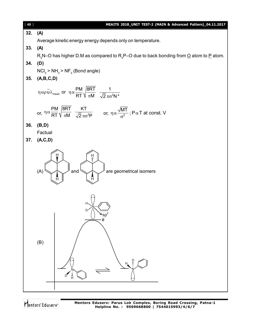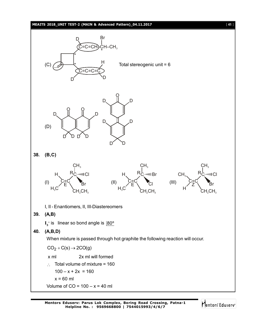#### **MEAITS 2018\_UNIT TEST-2 (MAIN & Advanced Pattern)\_04.11.2017** [ **41** ]

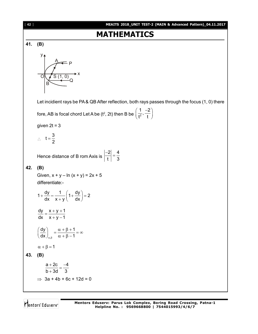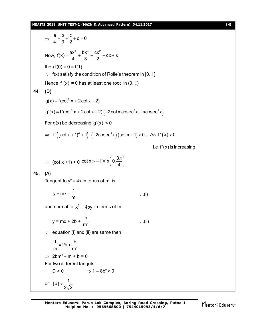#### **MEAITS 2018\_UNIT TEST-2 (MAIN & Advanced Pattern)\_04.11.2017** [ **43** ]

$$
\frac{a}{4} + \frac{b}{3} + \frac{c}{2} + d = 0
$$
  
\nNow,  $f(x) = \frac{ax^4}{4} + \frac{bx^3}{3} + \frac{cx^2}{2} + dx + k$   
\nthen  $f(0) = 0 = f(1)$   
\n∴  $f(x)$  satisfy the condition of Rolle's theorem in [0, 1]  
\nHence  $f'(x) = 0$  has at least one root in (0, 1)  
\n44. (D)  
\n $g(x) = f(\cot^2 x + 2\cot x + 2)$   
\n $g'(x) = f'(\cot^2 x + 2\cot x + 2) {-2\cot x \csc^2 x - x \csc^2 x}$   
\nFor  $g(x)$  be decreasing  $g'(x) < 0$   
\n⇒  $f'((\cot x + 1)^2 + 1) . (-2\csc^2 x) (\cot x + 1) < 0$ ; As  $f''(x) > 0$   
\ni.e  $f'(x)$  is increasing  
\n⇒  $(\cot x + 1) > 0 \cot x > -1, \forall x \left(0, \frac{3\pi}{4}\right)$   
\n45. (A)  
\nTangent to  $y^2 = 4x$  in terms of m, is  
\n $y = mx + \frac{1}{m}$  ...(i)  
\nand normal to  $x^2 = 4by$  in terms of m  
\n $y = mx + 2b + \frac{b}{m^2}$  ...(ii)  
\n∴ equation (i) and (ii) are same then  
\n $\frac{1}{m} = 2b + \frac{b}{m^2}$   
\n⇒  $2bm^2 - m + b = 0$   
\nFor two different tangets  
\nD > 0 ⇒ 1 – 8b<sup>2</sup> > 0  
\nor  $|b| < \frac{1}{2\sqrt{2}}$ 

Mentors Eduserv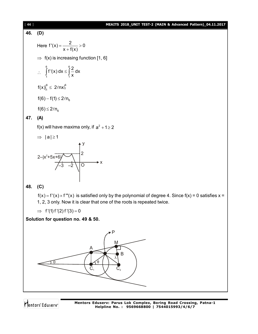#### [ **44** ] **MEAITS 2018\_UNIT TEST-2 (MAIN & Advanced Pattern)\_04.11.2017**

46. **(D)**  
\nHere 
$$
f'(x) = \frac{2}{x + f(x)} > 0
$$
  
\n $\Rightarrow f(x)$  is increasing function [1, 6]  
\n $\therefore \int_{1}^{6} f'(x) dx \le \int_{1}^{6} \frac{2}{x} dx$   
\n $f(x)|_{1}^{6} \le 2\ell nx|_{1}^{6}$   
\n $f(6) - f(1) \le 2\ell n_{6}$ 

 $f(6) \leq 2\ell n_6$ 

## **47. (A)**

f(x) will have maxima only, if  $a^2 + 1 \ge 2$ 

$$
\Rightarrow \; |a| \!\geq\! 1
$$



**48. (C)**

 $f(x) = f'(x) \times f'''(x)$  is satisfied only by the polynomial of degree 4. Since  $f(x) = 0$  satisfies  $x =$ 1, 2, 3 only. Now it is clear that one of the roots is repeated twice.

$$
\implies
$$
 f'(1) f'(2) f'(3) = 0

**Solution for question no. 49 & 50.**



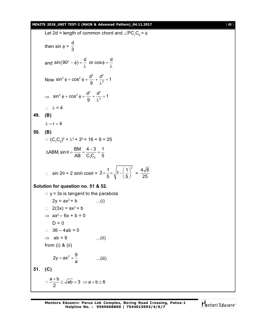#### **MEAITS 2018\_UNIT TEST-2 (MAIN & Advanced Pattern)\_04.11.2017** [ **45** ]

Let 2d = length of common chord and  $\angle PC_1C_2 = \phi$ then sin  $\phi =$ d 3 and  $\sin(90^\circ - \phi) = \frac{d}{\lambda}$  or  $\cos \phi = \frac{d}{\lambda}$  $\lambda$   $\lambda$ Now  $^{2}$  d  $^{2}$  cos<sup>2</sup> d<sup>2</sup> d<sup>2</sup>  $\sin^2 \phi + \cos^2 \phi = \frac{d^2}{\rho} + \frac{d^2}{\lambda^2} = 1$ 9  $\phi$  + cos<sup>2</sup>  $\phi$  =  $\frac{a}{\phi}$  +  $\frac{a}{\phi^2}$  = 2 λ  $\Rightarrow$  $2 + \cos^2 x - d^2$   $d^2$  $\sin^2 \phi + \cos^2 \phi = \frac{d^2}{\rho} + \frac{d^2}{\lambda^2} = 1$ 9  $\phi + \cos^2 \phi = \frac{a}{2} + \frac{a}{12} = 1$ λ  $\therefore \lambda = 4$ **49. (B)**  $\lambda = r = 4$ **50. (B)**  $\therefore$  (C<sub>1</sub>C<sub>2</sub>)<sup>2</sup> =  $\lambda^2$  + 3<sup>2</sup> = 16 + 9 = 25  $1\mathbf{v}_2$ ABM, sin  $\theta = \frac{BM}{AD} = \frac{4-3}{2} = \frac{1}{5}$ AB  $C_1C_2$  5  $\triangle$ ABM, sin  $\theta = \frac{BM}{\triangle} = \frac{4-3}{3} = \frac{1}{2}$  $\therefore$  sin 2 $\theta$  = 2 sin $\theta$  cos $\theta$  =  $2 \times \frac{1}{2} \times \sqrt{1 - (\frac{1}{2})^2}$ 5 V (5  $\times \frac{1}{5} \times \sqrt{1 - \left(\frac{1}{5}\right)^2} = \frac{4\sqrt{6}}{25}$ 25 **Solution for question no. 51 & 52.**  $\therefore$  y = 3x is tangent to the parabola  $2y = ax^2 + b$  ...(i)  $2(3x) = ax^2 + b$  $\Rightarrow$  ax<sup>2</sup> - 6x + b = 0  $D = 0$  $\therefore$  36 – 4ab = 0  $\Rightarrow$  ab = 9 ...(ii) from (i) & (ii) 2y =  $ax^2 + \frac{9}{x}$  $=$   $ax^2 + \frac{b}{a}$  ...(iii) **51. (C)**  $\frac{a+b}{2} \ge \sqrt{ab} = 3 \Rightarrow a+b \ge 6$ 2  $\therefore \frac{a+b}{2} \ge \sqrt{ab} = 3 \implies a+b \ge 6$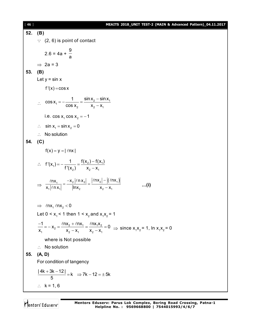[ **46** ] **MEAITS 2018\_UNIT TEST-2 (MAIN & Advanced Pattern)\_04.11.2017 52. (B)**  $\therefore$  (2, 6) is point of contact 2.6 = 4a + 9 a  $\Rightarrow$  2a = 3 **53. (B)** Let  $y = \sin x$  $f'(x) = \cos x$  $\therefore$  COS X<sub>1</sub> =  $-\frac{1}{\cos x}$  =  $\frac{\sin x_2 - \sin x_1}{x - x}$ 2  $\mathbb{Z}_2$   $\mathbb{Z}_1$  $\cos x_1 = \frac{1}{1}$   $\frac{\sin x_2 - \sin x_3}{1}$  $\cos x_2$   $x_2 - x_1$  $=-\frac{1}{\sqrt{2}}=\frac{\sin x_2 - \sin x_3}{\sqrt{2}}$  $\overline{\phantom{0}}$ i.e.  $\cos x_1 \cos x_2 = -1$  $\therefore$  sin  $x_1 = \sin x_2 = 0$  $\therefore$  No solution **54. (C)**  $f(x) = y = | \ln x |$  $\therefore$   $f'(X_1) = -\frac{1}{f'(X_1)} = \frac{f(X_2) - f(X_1)}{f'(X_1)}$ 2/  $\lambda_2$   $\lambda_1$  $f'(x_1) = -\frac{1}{f(x_1)} = \frac{f(x_2) - f(x_1)}{f(x_1)}$ f'(x<sub>2</sub>)  $x_2 - x_1$  $=-\frac{1}{516}=\frac{f(x_2)-1}{x_1+x_2+x_3}$  $\overline{\phantom{0}}$  $\Rightarrow \frac{\ln x_1}{\sqrt{2\pi}x_1} = \frac{-x_2|\ln x_2|}{\ln x} = \frac{|\ln x_2| - |(\ln x_1)|}{\sqrt{x_1}}$  $1$ <sup>2</sup>  $1$  2  $1$   $1$   $1$   $2$   $2$   $2$   $2$   $2$ nx,  $-{\mathsf x}_2\bigl| \ell$ n ${\mathsf x}_2\bigr|$   $\bigl| \ell$ n ${\mathsf x}_2\bigr|$   $- \bigl| (\ell$ nx  $x_1 |\ell \cap x_1|$   $\vert \ln x_2$   $x_2 - x_1$  $=\frac{-x_2|\ell \ln x_2|}{\ln x_2}=\frac{|\ell \ln x_2|-1}{\ln x_2}$ - $\ell$ nx,  $-x_2|\ell$ nx<sub>2</sub> $|$   $|\ell$ nx<sub>2</sub> $|$   $|(\ell n)$  $\ell$ **...(i)**  $\Rightarrow$   $ln x_1 ln x_2 < 0$ Let 0 <  $x_1$  < 1 then 1 <  $x_2$  and  $x_1x_2$  = 1  $\frac{1}{2} = \frac{18.2 + 18.14}{1} = \frac{18.144}{1}$ 1  $\mathbb{Z}_2$   $\mathbb{Z}_1$   $\mathbb{Z}_2$   $\mathbb{Z}_1$  $\frac{1}{n} = -x_2 = \frac{\ln x_2 + \ln x_1}{n} = \frac{\ln x_1 x_2}{n} = 0$  $X_1$   $X_2 - X_1$   $X_2 - X_1$  $\frac{-1}{-1} = -x_2 = \frac{\ln x_2 + \ln x_1}{-1} = \frac{\ln x_1 x_2}{-1} = 0$  $-x_1$   $x_2$  - >  $\ell$ nx<sub>2</sub> +  $\ell$ nx<sub>1</sub>  $\ell$ n  $\Rightarrow$  since  $x_1x_2 = 1$ , ln  $x_1x_2 = 0$ where is Not possible  $\therefore$  No solution **55. (A, D)** For condition of tangency  $\frac{|4k + 3k - 12|}{5} = k \Rightarrow 7k - 12 = \pm 5k$ 5  $\frac{+3k-12}{5}$  = k  $\Rightarrow$  7k - 12 = ± 9  $\therefore$  k = 1, 6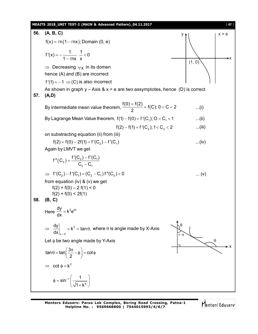

**Mentors Eduserv: Parus Lok Complex, Boring Road Crossing, Patna-1 Helpline No. : 9569668800 | 7544015993/4/6/7**

Mentors<sup>®</sup> Eduserv<sup>®</sup>